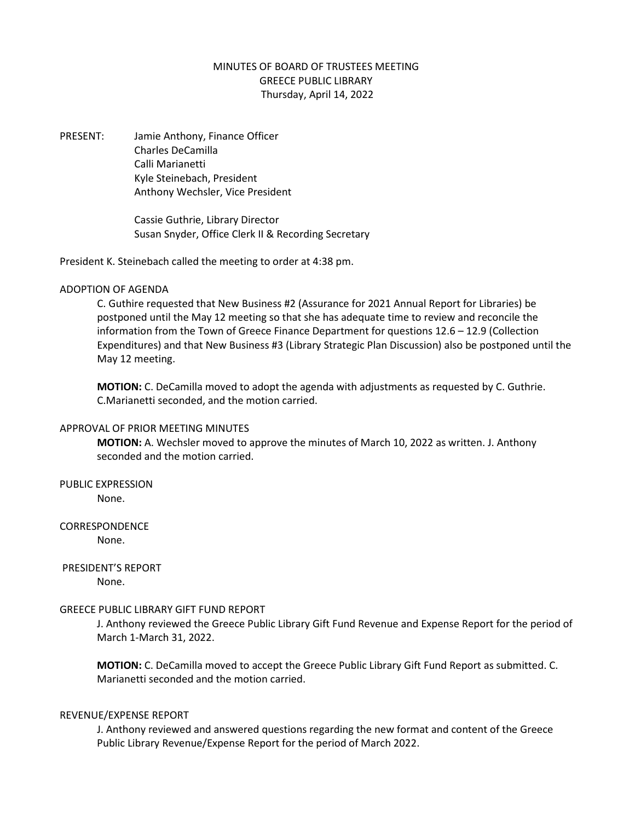## MINUTES OF BOARD OF TRUSTEES MEETING GREECE PUBLIC LIBRARY Thursday, April 14, 2022

PRESENT: Jamie Anthony, Finance Officer Charles DeCamilla Calli Marianetti Kyle Steinebach, President Anthony Wechsler, Vice President

> Cassie Guthrie, Library Director Susan Snyder, Office Clerk II & Recording Secretary

President K. Steinebach called the meeting to order at 4:38 pm.

## ADOPTION OF AGENDA

C. Guthire requested that New Business #2 (Assurance for 2021 Annual Report for Libraries) be postponed until the May 12 meeting so that she has adequate time to review and reconcile the information from the Town of Greece Finance Department for questions 12.6 – 12.9 (Collection Expenditures) and that New Business #3 (Library Strategic Plan Discussion) also be postponed until the May 12 meeting.

**MOTION:** C. DeCamilla moved to adopt the agenda with adjustments as requested by C. Guthrie. C.Marianetti seconded, and the motion carried.

#### APPROVAL OF PRIOR MEETING MINUTES

**MOTION:** A. Wechsler moved to approve the minutes of March 10, 2022 as written. J. Anthony seconded and the motion carried.

# PUBLIC EXPRESSION

None.

## CORRESPONDENCE

None.

### PRESIDENT'S REPORT None.

## GREECE PUBLIC LIBRARY GIFT FUND REPORT

J. Anthony reviewed the Greece Public Library Gift Fund Revenue and Expense Report for the period of March 1-March 31, 2022.

**MOTION:** C. DeCamilla moved to accept the Greece Public Library Gift Fund Report as submitted. C. Marianetti seconded and the motion carried.

#### REVENUE/EXPENSE REPORT

J. Anthony reviewed and answered questions regarding the new format and content of the Greece Public Library Revenue/Expense Report for the period of March 2022.